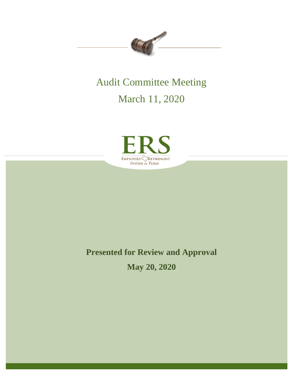

# Audit Committee Meeting

March 11, 2020



# **Presented for Review and Approval**

**May 20, 2020**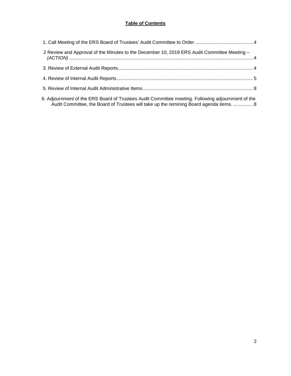# **Table of Contents**

| 2 Review and Approval of the Minutes to the December 10, 2019 ERS Audit Committee Meeting - |  |
|---------------------------------------------------------------------------------------------|--|
|                                                                                             |  |
|                                                                                             |  |
|                                                                                             |  |
|                                                                                             |  |

[6. Adjournment of the ERS Board of Trustees Audit Committee meeting. Following adjournment of the](#page-7-1)  [Audit Committee, the Board of Trustees will take up the remining Board agenda items.](#page-7-1) ............... 8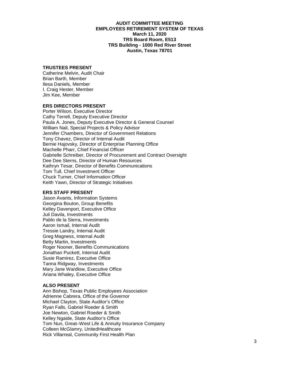#### **AUDIT COMMITTEE MEETING EMPLOYEES RETIREMENT SYSTEM OF TEXAS March 11, 2020 TRS Board Room, E513 TRS Building - 1000 Red River Street Austin, Texas 78701**

# **TRUSTEES PRESENT**

Catherine Melvin, Audit Chair Brian Barth, Member Ilesa Daniels, Member I. Craig Hester, Member Jim Kee, Member

#### **ERS DIRECTORS PRESENT**

Porter Wilson, Executive Director Cathy Terrell, Deputy Executive Director Paula A. Jones, Deputy Executive Director & General Counsel William Nail, Special Projects & Policy Advisor Jennifer Chambers, Director of Government Relations Tony Chavez, Director of Internal Audit Bernie Hajovsky, Director of Enterprise Planning Office Machelle Pharr, Chief Financial Officer Gabrielle Schreiber, Director of Procurement and Contract Oversight Dee Dee Sterns, Director of Human Resources Kathryn Tesar, Director of Benefits Communications Tom Tull, Chief Investment Officer Chuck Turner, Chief Information Officer Keith Yawn, Director of Strategic Initiatives

#### **ERS STAFF PRESENT**

Jason Avants, Information Systems Georgina Bouton, Group Benefits Kelley Davenport, Executive Office Juli Davila, Investments Pablo de la Sierra, Investments Aaron Ismail, Internal Audit Tressie Landry, Internal Audit Greg Magness, Internal Audit Betty Martin, Investments Roger Nooner, Benefits Communications Jonathan Puckett, Internal Audit Susie Ramirez, Executive Office Tanna Ridgway, Investments Mary Jane Wardlow, Executive Office Ariana Whaley, Executive Office

#### **ALSO PRESENT**

Ann Bishop, Texas Public Employees Association Adrienne Cabrera, Office of the Governor Michael Clayton, State Auditor's Office Ryan Falls, Gabriel Roeder & Smith Joe Newton, Gabriel Roeder & Smith Kelley Ngaide, State Auditor's Office Tom Nun, Great–West Life & Annuity Insurance Company Colleen McGlamry, UnitedHealthcare Rick Villarreal, Community First Health Plan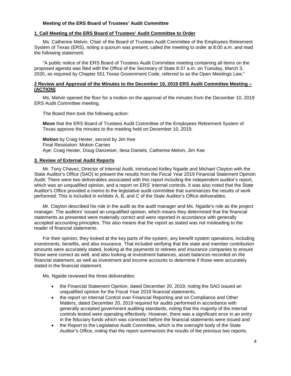## **Meeting of the ERS Board of Trustees' Audit Committee**

#### <span id="page-3-0"></span>**1. Call Meeting of the ERS Board of Trustees' Audit Committee to Order**

Ms. Catherine Melvin, Chair of the Board of Trustees Audit Committee of the Employees Retirement System of Texas (ERS), noting a quorum was present, called the meeting to order at 8:00 a.m. and read the following statement:

"A public notice of the ERS Board of Trustees Audit Committee meeting containing all items on the proposed agenda was filed with the Office of the Secretary of State 8:37 a.m. on Tuesday, March 3, 2020, as required by Chapter 551 Texas Government Code, referred to as the Open Meetings Law."

#### <span id="page-3-1"></span>**2 Review and Approval of the Minutes to the December 10, 2019 ERS Audit Committee Meeting – (ACTION)**

Ms. Melvin opened the floor for a motion on the approval of the minutes from the December 10, 2019 ERS Audit Committee meeting.

The Board then took the following action:

**Move** that the ERS Board of Trustees Audit Committee of the Employees Retirement System of Texas approve the minutes to the meeting held on December 10, 2019.

**Motion** by Craig Hester, second by Jim Kee Final Resolution: Motion Carries Aye: Craig Hester, Doug Danzeiser, Ilesa Daniels, Catherine Melvin, Jim Kee

#### <span id="page-3-2"></span>**3. Review of External Audit Reports**

Mr. Tony Chavez, Director of Internal Audit, introduced Kelley Ngaide and Michael Clayton with the State Auditor's Office (SAO) to present the results from the Fiscal Year 2019 Financial Statement Opinion Audit. There were two deliverables associated with this report including the independent auditor's report, which was an unqualified opinion, and a report on ERS' internal controls. It was also noted that the State Auditor's Office provided a memo to the legislative audit committee that summarizes the results of work performed. This is included in exhibits A, B, and C of the State Auditor's Office deliverables.

Mr. Clayton described his role in the audit as the audit manager and Ms. Ngaide's role as the project manager. The auditors' issued an unqualified opinion, which means they determined that the financial statements as presented were materially correct and were reported in accordance with generally accepted accounting principles. This also means that the report as stated was not misleading to the reader of financial statements.

For their opinion, they looked at the key parts of the system, any benefit system operations, including investments, benefits, and also insurance. That included verifying that the state and member contribution amounts were accurately stated, looking at the payments to retirees and insurance companies to ensure those were correct as well, and also looking at investment balances, asset balances recorded on the financial statement, as well as investment and income accounts to determine if those were accurately stated in the financial statement.

Ms. Ngaide reviewed the three deliverables:

- the Financial Statement Opinion, dated December 20, 2019, noting the SAO issued an unqualified opinion for the Fiscal Year 2019 financial statements,
- the report on Internal Control over Financial Reporting and on Compliance and Other Matters, dated December 20, 2019 required for audits performed in accordance with generally accepted government auditing standards, noting that the majority of the internal controls tested were operating effectively. However, there was a significant error in an entry in the fiduciary funds which was corrected before the financial statements were issued and
- the Report to the Legislative Audit Committee, which is the oversight body of the State Auditor's Office, noting that the report summarizes the results of the previous two reports.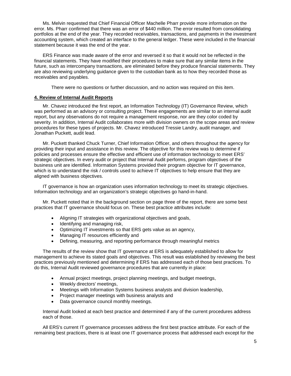Ms. Melvin requested that Chief Financial Officer Machelle Pharr provide more information on the error. Ms. Pharr confirmed that there was an error of \$440 million. The error resulted from consolidating portfolios at the end of the year. They recorded receivables, transactions, and payments in the investment accounting system, which created an interface to the general ledger. These were included in the financial statement because it was the end of the year.

ERS Finance was made aware of the error and reversed it so that it would not be reflected in the financial statements. They have modified their procedures to make sure that any similar items in the future, such as intercompany transactions, are eliminated before they produce financial statements. They are also reviewing underlying guidance given to the custodian bank as to how they recorded those as receivables and payables.

There were no questions or further discussion, and no action was required on this item.

#### <span id="page-4-0"></span>**4. Review of Internal Audit Reports**

Mr. Chavez introduced the first report, an Information Technology (IT) Governance Review, which was performed as an advisory or consulting project. These engagements are similar to an internal audit report, but any observations do not require a management response, nor are they color coded by severity. In addition, Internal Audit collaborates more with division owners on the scope areas and review procedures for these types of projects. Mr. Chavez introduced Tressie Landry, audit manager, and Jonathan Puckett, audit lead.

Mr. Puckett thanked Chuck Turner, Chief Information Officer, and others throughout the agency for providing their input and assistance in this review. The objective for this review was to determine if policies and processes ensure the effective and efficient use of information technology to meet ERS' strategic objectives. In every audit or project that Internal Audit performs, program objectives of the business unit are identified. Information Systems provided their program objective for IT governance, which is to understand the risk / controls used to achieve IT objectives to help ensure that they are aligned with business objectives.

IT governance is how an organization uses information technology to meet its strategic objectives. Information technology and an organization's strategic objectives go hand-in-hand.

Mr. Puckett noted that in the background section on page three of the report, there are some best practices that IT governance should focus on. These best practice attributes include:

- Aligning IT strategies with organizational objectives and goals,
- Identifying and managing risk,
- Optimizing IT investments so that ERS gets value as an agency,
- Managing IT resources efficiently and
- Defining, measuring, and reporting performance through meaningful metrics

The results of the review show that IT governance at ERS is adequately established to allow for management to achieve its stated goals and objectives. This result was established by reviewing the best practices previously mentioned and determining if ERS has addressed each of those best practices. To do this, Internal Audit reviewed governance procedures that are currently in place:

- Annual project meetings, project planning meetings, and budget meetings,
- Weekly directors' meetings,
- Meetings with Information Systems business analysts and division leadership,
- Project manager meetings with business analysts and
- Data governance council monthly meetings.

Internal Audit looked at each best practice and determined if any of the current procedures address each of those.

All ERS's current IT governance processes address the first best practice attribute. For each of the remaining best practices, there is at least one IT governance process that addressed each except for the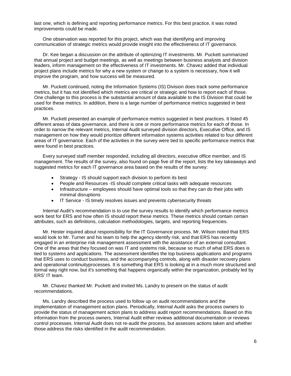last one, which is defining and reporting performance metrics. For this best practice, it was noted improvements could be made.

One observation was reported for this project, which was that identifying and improving communication of strategic metrics would provide insight into the effectiveness of IT governance.

Dr. Kee began a discussion on the attribute of optimizing IT investments. Mr. Puckett summarized that annual project and budget meetings, as well as meetings between business analysts and division leaders, inform management on the effectiveness of IT investments. Mr. Chavez added that individual project plans include metrics for why a new system or change to a system is necessary, how it will improve the program, and how success will be measured.

Mr. Puckett continued, noting the Information Systems (IS) Division does track some performance metrics, but it has not identified which metrics are critical or strategic and how to report each of those. One challenge to this process is the substantial amount of data available to the IS Division that could be used for these metrics. In addition, there is a large number of performance metrics suggested in best practices.

Mr. Puckett presented an example of performance metrics suggested in best practices. It listed 45 different areas of data governance, and there is one or more performance metrics for each of those. In order to narrow the relevant metrics, Internal Audit surveyed division directors, Executive Office, and IS management on how they would prioritize different information systems activities related to four different areas of IT governance. Each of the activities in the survey were tied to specific performance metrics that were found in best practices.

Every surveyed staff member responded, including all directors, executive office member, and IS management. The results of the survey, also found on page five of the report, lists the key takeaways and suggested metrics for each IT governance area based on the results of the survey:

- Strategy IS should support each division to perform its best
- People and Resources -IS should complete critical tasks with adequate resources
- Infrastructure employees should have optimal tools so that they can do their jobs with minimal disruptions
- IT Service IS timely resolves issues and prevents cybersecurity threats

Internal Audit's recommendation is to use the survey results to identify which performance metrics work best for ERS and how often IS should report these metrics. These metrics should contain certain attributes, such as definitions, calculation methodologies, targets, and reporting frequencies.

Mr. Hester inquired about responsibility for the IT Governance process. Mr. Wilson noted that ERS would look to Mr. Turner and his team to help the agency identify risk, and that ERS has recently engaged in an enterprise risk management assessment with the assistance of an external consultant. One of the areas that they focused on was IT and systems risk, because so much of what ERS does is tied to systems and applications. The assessment identifies the top business applications and programs that ERS uses to conduct business, and the accompanying controls, along with disaster recovery plans and operational continuityprocesses. It is something that ERS is looking at in a much more structured and formal way right now, but it's something that happens organically within the organization, probably led by ERS' IT team.

Mr. Chavez thanked Mr. Puckett and invited Ms. Landry to present on the status of audit recommendations.

Ms. Landry described the process used to follow up on audit recommendations and the implementation of management action plans. Periodically, Internal Audit asks the process owners to provide the status of management action plans to address audit report recommendations. Based on this information from the process owners, Internal Audit either reviews additional documentation or reviews control processes. Internal Audit does not re-audit the process, but assesses actions taken and whether those address the risks identified in the audit recommendation.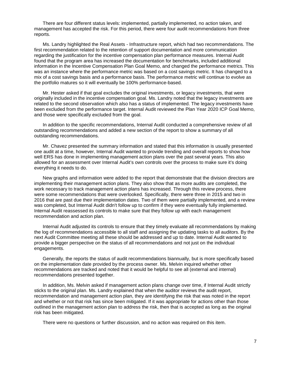There are four different status levels: implemented, partially implemented, no action taken, and management has accepted the risk. For this period, there were four audit recommendations from three reports.

Ms. Landry highlighted the Real Assets - Infrastructure report, which had two recommendations. The first recommendation related to the retention of support documentation and more communication regarding the justification for the incentive compensation plan performance measures. Internal Audit found that the program area has increased the documentation for benchmarks, included additional information in the Incentive Compensation Plan Goal Memo, and changed the performance metrics. This was an instance where the performance metric was based on a cost savings metric. It has changed to a mix of a cost savings basis and a performance basis. The performance metric will continue to evolve as the portfolio matures so it will eventually be 100% performance-based.

Mr. Hester asked if that goal excludes the original investments, or legacy investments, that were originally included in the incentive compensation goal. Ms. Landry noted that the legacy investments are related to the second observation which also has a status of implemented. The legacy investments have been excluded from the performance target. Internal Audit reviewed the Plan Year 2020 ICP Goal Memo, and those were specifically excluded from the goal.

In addition to the specific recommendations, Internal Audit conducted a comprehensive review of all outstanding recommendations and added a new section of the report to show a summary of all outstanding recommendations.

Mr. Chavez presented the summary information and stated that this information is usually presented one audit at a time, however, Internal Audit wanted to provide trending and overall reports to show how well ERS has done in implementing management action plans over the past several years. This also allowed for an assessment over Internal Audit's own controls over the process to make sure it's doing everything it needs to do.

New graphs and information were added to the report that demonstrate that the division directors are implementing their management action plans. They also show that as more audits are completed, the work necessary to track management action plans has increased. Through this review process, there were some recommendations that were overlooked. Specifically, there were three in 2015 and two in 2016 that are past due their implementation dates. Two of them were partially implemented, and a review was completed, but Internal Audit didn't follow up to confirm if they were eventually fully implemented. Internal Audit reassessed its controls to make sure that they follow up with each management recommendation and action plan.

Internal Audit adjusted its controls to ensure that they timely evaluate all recommendations by making the log of recommendations accessible to all staff and assigning the updating tasks to all auditors. By the next Audit Committee meeting all these should be addressed and up to date. Internal Audit wanted to provide a bigger perspective on the status of all recommendations and not just on the individual engagements.

Generally, the reports the status of audit recommendations biannually, but is more specifically based on the implementation date provided by the process owner. Ms. Melvin inquired whether other recommendations are tracked and noted that it would be helpful to see all (external and internal) recommendations presented together.

In addition, Ms. Melvin asked if management action plans change over time, if Internal Audit strictly sticks to the original plan. Ms. Landry explained that when the auditor reviews the audit report, recommendation and management action plan, they are identifying the risk that was noted in the report and whether or not that risk has since been mitigated. If it was appropriate for actions other than those outlined in the management action plan to address the risk, then that is accepted as long as the original risk has been mitigated.

There were no questions or further discussion, and no action was required on this item.